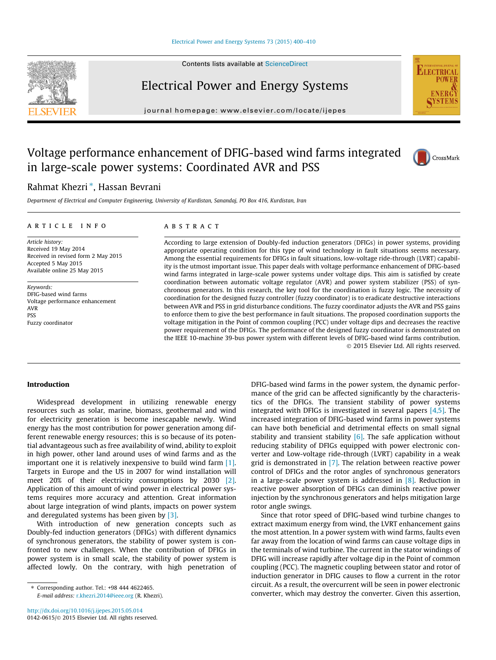Contents lists available at [ScienceDirect](http://www.sciencedirect.com/science/journal/01420615)

## Electrical Power and Energy Systems

journal homepage: [www.elsevier.com/locate/ijepes](http://www.elsevier.com/locate/ijepes)

### Voltage performance enhancement of DFIG-based wind farms integrated in large-scale power systems: Coordinated AVR and PSS

### Rahmat Khezri\*, Hassan Bevrani

Department of Electrical and Computer Engineering, University of Kurdistan, Sanandaj, PO Box 416, Kurdistan, Iran

#### article info

Article history: Received 19 May 2014 Received in revised form 2 May 2015 Accepted 5 May 2015 Available online 25 May 2015

Keywords: DFIG-based wind farms Voltage performance enhancement AVR PSS Fuzzy coordinator

#### **ABSTRACT**

According to large extension of Doubly-fed induction generators (DFIGs) in power systems, providing appropriate operating condition for this type of wind technology in fault situations seems necessary. Among the essential requirements for DFIGs in fault situations, low-voltage ride-through (LVRT) capability is the utmost important issue. This paper deals with voltage performance enhancement of DFIG-based wind farms integrated in large-scale power systems under voltage dips. This aim is satisfied by create coordination between automatic voltage regulator (AVR) and power system stabilizer (PSS) of synchronous generators. In this research, the key tool for the coordination is fuzzy logic. The necessity of coordination for the designed fuzzy controller (fuzzy coordinator) is to eradicate destructive interactions between AVR and PSS in grid disturbance conditions. The fuzzy coordinator adjusts the AVR and PSS gains to enforce them to give the best performance in fault situations. The proposed coordination supports the voltage mitigation in the Point of common coupling (PCC) under voltage dips and decreases the reactive power requirement of the DFIGs. The performance of the designed fuzzy coordinator is demonstrated on the IEEE 10-machine 39-bus power system with different levels of DFIG-based wind farms contribution. - 2015 Elsevier Ltd. All rights reserved.

#### Introduction

Widespread development in utilizing renewable energy resources such as solar, marine, biomass, geothermal and wind for electricity generation is become inescapable newly. Wind energy has the most contribution for power generation among different renewable energy resources; this is so because of its potential advantageous such as free availability of wind, ability to exploit in high power, other land around uses of wind farms and as the important one it is relatively inexpensive to build wind farm [\[1\].](#page--1-0) Targets in Europe and the US in 2007 for wind installation will meet 20% of their electricity consumptions by 2030 [\[2\].](#page--1-0) Application of this amount of wind power in electrical power systems requires more accuracy and attention. Great information about large integration of wind plants, impacts on power system and deregulated systems has been given by [\[3\]](#page--1-0).

With introduction of new generation concepts such as Doubly-fed induction generators (DFIGs) with different dynamics of synchronous generators, the stability of power system is confronted to new challenges. When the contribution of DFIGs in power system is in small scale, the stability of power system is affected lowly. On the contrary, with high penetration of DFIG-based wind farms in the power system, the dynamic performance of the grid can be affected significantly by the characteristics of the DFIGs. The transient stability of power systems integrated with DFIGs is investigated in several papers  $[4,5]$ . The increased integration of DFIG-based wind farms in power systems can have both beneficial and detrimental effects on small signal stability and transient stability  $[6]$ . The safe application without reducing stability of DFIGs equipped with power electronic converter and Low-voltage ride-through (LVRT) capability in a weak grid is demonstrated in  $[7]$ . The relation between reactive power control of DFIGs and the rotor angles of synchronous generators in a large-scale power system is addressed in [\[8\].](#page--1-0) Reduction in reactive power absorption of DFIGs can diminish reactive power injection by the synchronous generators and helps mitigation large rotor angle swings.

Since that rotor speed of DFIG-based wind turbine changes to extract maximum energy from wind, the LVRT enhancement gains the most attention. In a power system with wind farms, faults even far away from the location of wind farms can cause voltage dips in the terminals of wind turbine. The current in the stator windings of DFIG will increase rapidly after voltage dip in the Point of common coupling (PCC). The magnetic coupling between stator and rotor of induction generator in DFIG causes to flow a current in the rotor circuit. As a result, the overcurrent will be seen in power electronic converter, which may destroy the converter. Given this assertion,







<sup>⇑</sup> Corresponding author. Tel.: +98 444 4622465. E-mail address: [r.khezri.2014@ieee.org](mailto:r.khezri.2014@ieee.org) (R. Khezri).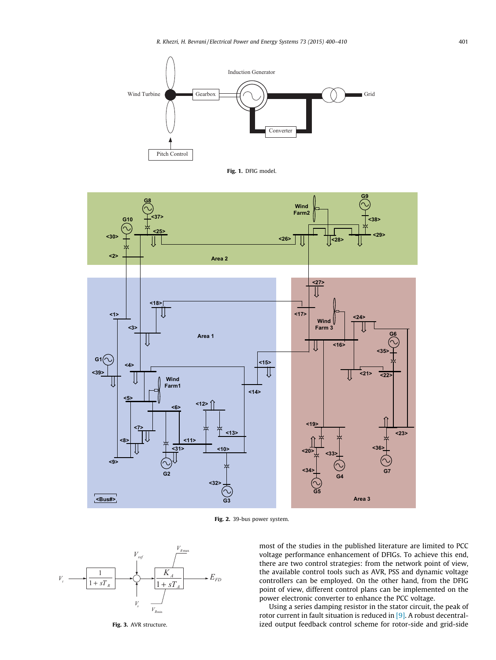

Fig. 1. DFIG model.



Fig. 2. 39-bus power system.



most of the studies in the published literature are limited to PCC voltage performance enhancement of DFIGs. To achieve this end, there are two control strategies: from the network point of view, the available control tools such as AVR, PSS and dynamic voltage controllers can be employed. On the other hand, from the DFIG point of view, different control plans can be implemented on the power electronic converter to enhance the PCC voltage.

Using a series damping resistor in the stator circuit, the peak of rotor current in fault situation is reduced in [\[9\]](#page--1-0). A robust decentralized output feedback control scheme for rotor-side and grid-side

Fig. 3. AVR structure.